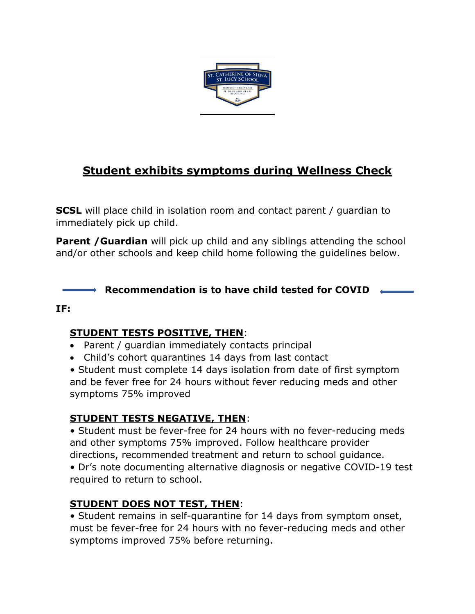

# **Student exhibits symptoms during Wellness Check**

**SCSL** will place child in isolation room and contact parent / guardian to immediately pick up child.

**Parent /Guardian** will pick up child and any siblings attending the school and/or other schools and keep child home following the guidelines below.

### **Recommendation is to have child tested for COVID**

#### **IF:**

#### **STUDENT TESTS POSITIVE, THEN**:

- Parent / quardian immediately contacts principal
- Child's cohort quarantines 14 days from last contact

• Student must complete 14 days isolation from date of first symptom and be fever free for 24 hours without fever reducing meds and other symptoms 75% improved

## **STUDENT TESTS NEGATIVE, THEN**:

• Student must be fever-free for 24 hours with no fever-reducing meds and other symptoms 75% improved. Follow healthcare provider directions, recommended treatment and return to school guidance.

• Dr's note documenting alternative diagnosis or negative COVID-19 test required to return to school.

## **STUDENT DOES NOT TEST, THEN**:

• Student remains in self-quarantine for 14 days from symptom onset, must be fever-free for 24 hours with no fever-reducing meds and other symptoms improved 75% before returning.